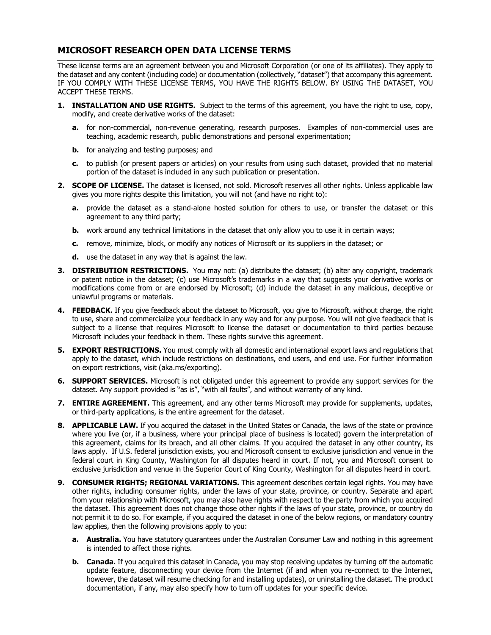## **MICROSOFT RESEARCH OPEN DATA LICENSE TERMS**

These license terms are an agreement between you and Microsoft Corporation (or one of its affiliates). They apply to the dataset and any content (including code) or documentation (collectively, "dataset") that accompany this agreement. IF YOU COMPLY WITH THESE LICENSE TERMS, YOU HAVE THE RIGHTS BELOW. BY USING THE DATASET, YOU ACCEPT THESE TERMS.

- **1. INSTALLATION AND USE RIGHTS.** Subject to the terms of this agreement, you have the right to use, copy, modify, and create derivative works of the dataset:
	- **a.** for non-commercial, non-revenue generating, research purposes. Examples of non-commercial uses are teaching, academic research, public demonstrations and personal experimentation;
	- **b.** for analyzing and testing purposes; and
	- **c.** to publish (or present papers or articles) on your results from using such dataset, provided that no material portion of the dataset is included in any such publication or presentation.
- **2. SCOPE OF LICENSE.** The dataset is licensed, not sold. Microsoft reserves all other rights. Unless applicable law gives you more rights despite this limitation, you will not (and have no right to):
	- **a.** provide the dataset as a stand-alone hosted solution for others to use, or transfer the dataset or this agreement to any third party;
	- **b.** work around any technical limitations in the dataset that only allow you to use it in certain ways;
	- **c.** remove, minimize, block, or modify any notices of Microsoft or its suppliers in the dataset; or
	- **d.** use the dataset in any way that is against the law.
- **3. DISTRIBUTION RESTRICTIONS.** You may not: (a) distribute the dataset; (b) alter any copyright, trademark or patent notice in the dataset; (c) use Microsoft's trademarks in a way that suggests your derivative works or modifications come from or are endorsed by Microsoft; (d) include the dataset in any malicious, deceptive or unlawful programs or materials.
- **4. FEEDBACK.** If you give feedback about the dataset to Microsoft, you give to Microsoft, without charge, the right to use, share and commercialize your feedback in any way and for any purpose. You will not give feedback that is subject to a license that requires Microsoft to license the dataset or documentation to third parties because Microsoft includes your feedback in them. These rights survive this agreement.
- **5. <b>EXPORT RESTRICTIONS.** You must comply with all domestic and international export laws and regulations that apply to the dataset, which include restrictions on destinations, end users, and end use. For further information on export restrictions, visit (aka.ms/exporting).
- **6. SUPPORT SERVICES.** Microsoft is not obligated under this agreement to provide any support services for the dataset. Any support provided is "as is", "with all faults", and without warranty of any kind.
- **7. ENTIRE AGREEMENT.** This agreement, and any other terms Microsoft may provide for supplements, updates, or third-party applications, is the entire agreement for the dataset.
- **8. APPLICABLE LAW.** If you acquired the dataset in the United States or Canada, the laws of the state or province where you live (or, if a business, where your principal place of business is located) govern the interpretation of this agreement, claims for its breach, and all other claims. If you acquired the dataset in any other country, its laws apply. If U.S. federal jurisdiction exists, you and Microsoft consent to exclusive jurisdiction and venue in the federal court in King County, Washington for all disputes heard in court. If not, you and Microsoft consent to exclusive jurisdiction and venue in the Superior Court of King County, Washington for all disputes heard in court.
- **9. CONSUMER RIGHTS; REGIONAL VARIATIONS.** This agreement describes certain legal rights. You may have other rights, including consumer rights, under the laws of your state, province, or country. Separate and apart from your relationship with Microsoft, you may also have rights with respect to the party from which you acquired the dataset. This agreement does not change those other rights if the laws of your state, province, or country do not permit it to do so. For example, if you acquired the dataset in one of the below regions, or mandatory country law applies, then the following provisions apply to you:
	- **a. Australia.** You have statutory guarantees under the Australian Consumer Law and nothing in this agreement is intended to affect those rights.
	- **b. Canada.** If you acquired this dataset in Canada, you may stop receiving updates by turning off the automatic update feature, disconnecting your device from the Internet (if and when you re-connect to the Internet, however, the dataset will resume checking for and installing updates), or uninstalling the dataset. The product documentation, if any, may also specify how to turn off updates for your specific device.